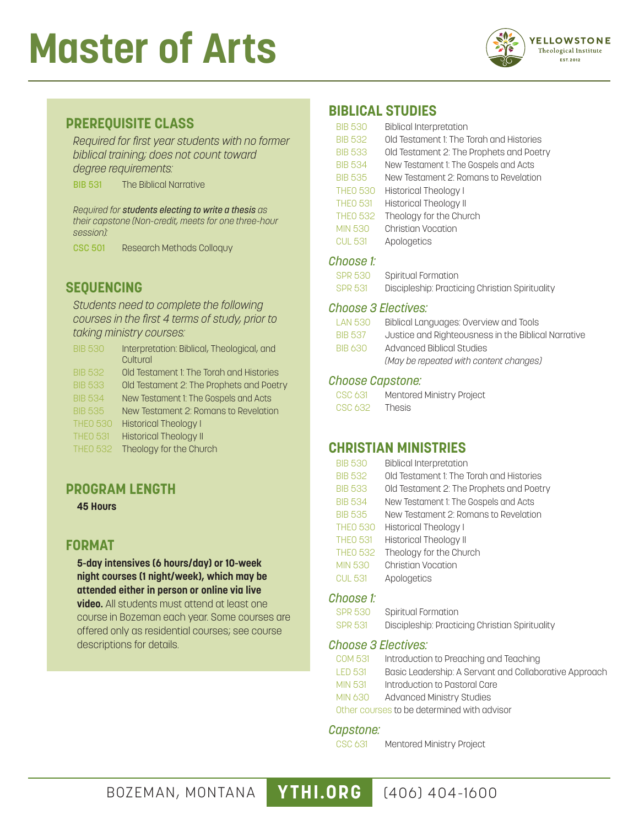# **Master of Arts**



#### **PREREQUISITE CLASS**

*Required for first year students with no former biblical training; does not count toward degree requirements:*

BIB 531 The Biblical Narrative

*Required for students electing to write a thesis as their capstone (Non-credit, meets for one three-hour session):*

CSC 501 Research Methods Colloquy

### **SEQUENCING**

*Students need to complete the following courses in the first 4 terms of study, prior to taking ministry courses:*

| <b>BIB 530</b>  | Interpretation: Biblical, Theological, and |
|-----------------|--------------------------------------------|
|                 | Cultural                                   |
| <b>BIB 532</b>  | Old Testament 1: The Torah and Histories   |
| <b>BIB 533</b>  | Old Testament 2: The Prophets and Poetry   |
| <b>BIB 534</b>  | New Testament 1: The Gospels and Acts      |
| <b>BIB 535</b>  | New Testament 2: Romans to Revelation      |
| <b>THEO 530</b> | <b>Historical Theology I</b>               |
| <b>THEO 531</b> | <b>Historical Theology II</b>              |

THEO 532 Theology for the Church

#### **PROGRAM LENGTH**

**45 Hours**

### **FORMAT**

**5-day intensives (6 hours/day) or 10-week night courses (1 night/week), which may be attended either in person or online via live** 

**video.** All students must attend at least one course in Bozeman each year. Some courses are offered only as residential courses; see course descriptions for details.

#### **BIBLICAL STUDIES**

| <b>BIB 530</b>  | <b>Biblical Interpretation</b>           |
|-----------------|------------------------------------------|
| <b>BIB 532</b>  | Old Testament 1: The Torah and Histories |
| <b>BIB 533</b>  | Old Testament 2: The Prophets and Poetry |
| <b>BIB 534</b>  | New Testament 1: The Gospels and Acts    |
| <b>BIB 535</b>  | New Testament 2: Romans to Revelation    |
| <b>THEO 530</b> | Historical Theology I                    |
| <b>THEO 531</b> | <b>Historical Theology II</b>            |
| <b>THEO 532</b> | Theology for the Church                  |
| <b>MIN 530</b>  | Christian Vocation                       |
| <b>CUL 531</b>  | Apologetics                              |

#### *Choose 1:*

| SPR 530 | Spiritual Formation                             |
|---------|-------------------------------------------------|
| SPR 531 | Discipleship: Practicing Christian Spirituality |

#### *Choose 3 Electives:*

| LAN 530        | Biblical Languages: Overview and Tools              |
|----------------|-----------------------------------------------------|
| <b>BIB 537</b> | Justice and Righteousness in the Biblical Narrative |
| <b>BIB 630</b> | Advanced Biblical Studies                           |
|                | (May be repeated with content changes)              |
|                |                                                     |

#### *Choose Capstone:*

| CSC 631 | Mentored Ministry Project |
|---------|---------------------------|
| CSC 632 | <b>Thesis</b>             |

#### **CHRISTIAN MINISTRIES**

| <b>BIB 530</b>  | <b>Biblical Interpretation</b>           |
|-----------------|------------------------------------------|
| <b>BIB 532</b>  | Old Testament 1: The Torah and Histories |
| <b>BIB 533</b>  | Old Testament 2: The Prophets and Poetry |
| <b>BIB 534</b>  | New Testament 1: The Gospels and Acts    |
| <b>BIB 535</b>  | New Testament 2: Romans to Revelation    |
| <b>THEO 530</b> | <b>Historical Theology I</b>             |
| <b>THEO 531</b> | <b>Historical Theology II</b>            |
| <b>THEO 532</b> | Theology for the Church                  |
| <b>MIN 530</b>  | <b>Christian Vocation</b>                |
| <b>CUL 531</b>  | Apologetics                              |

#### *Choose 1:*

SPR 530 Spiritual Formation SPR 531 Discipleship: Practicing Christian Spirituality

#### *Choose 3 Electives:*

| COM 531 | Introduction to Preaching and Teaching                 |
|---------|--------------------------------------------------------|
| LED 531 | Basic Leadership: A Servant and Collaborative Approach |
| MIN 531 | Introduction to Pastoral Care                          |

MIN 630 Advanced Ministry Studies

Other courses to be determined with advisor

#### *Capstone:*

CSC 631 Mentored Ministry Project